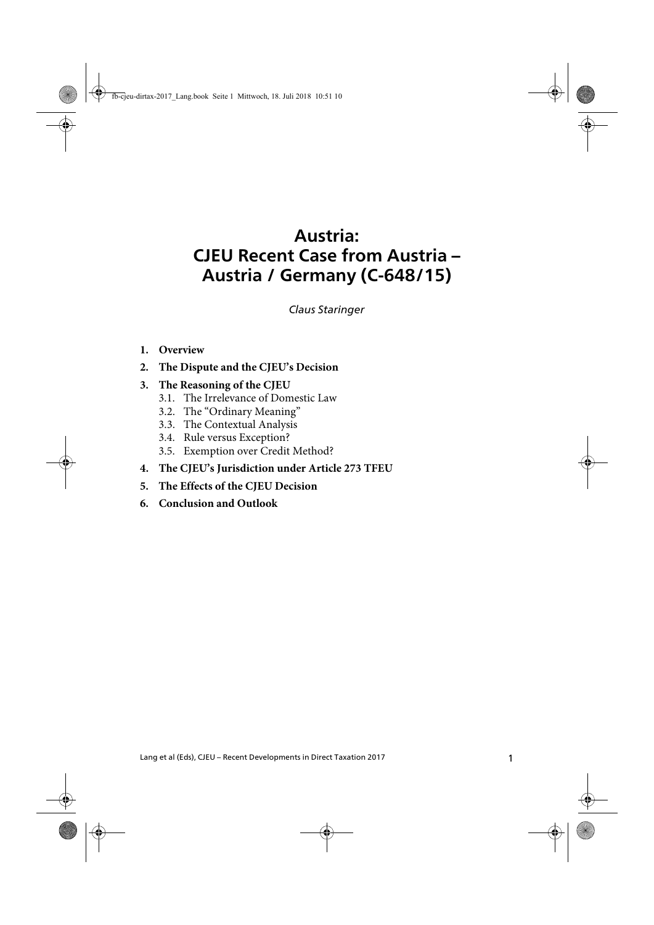# **Austria: CJEU Recent Case from Austria – Austria / Germany (C-648/15)**

*Claus Staringer*

#### **1. Overview**

**2. The Dispute and the CJEU's Decision**

#### **3. The Reasoning of the CJEU**

- 3.1. The Irrelevance of Domestic Law
- 3.2. The "Ordinary Meaning"
- 3.3. The Contextual Analysis
- 3.4. Rule versus Exception?
- 3.5. Exemption over Credit Method?
- **4. The CJEU's Jurisdiction under Article 273 TFEU**
- **5. The Effects of the CJEU Decision**
- **6. Conclusion and Outlook**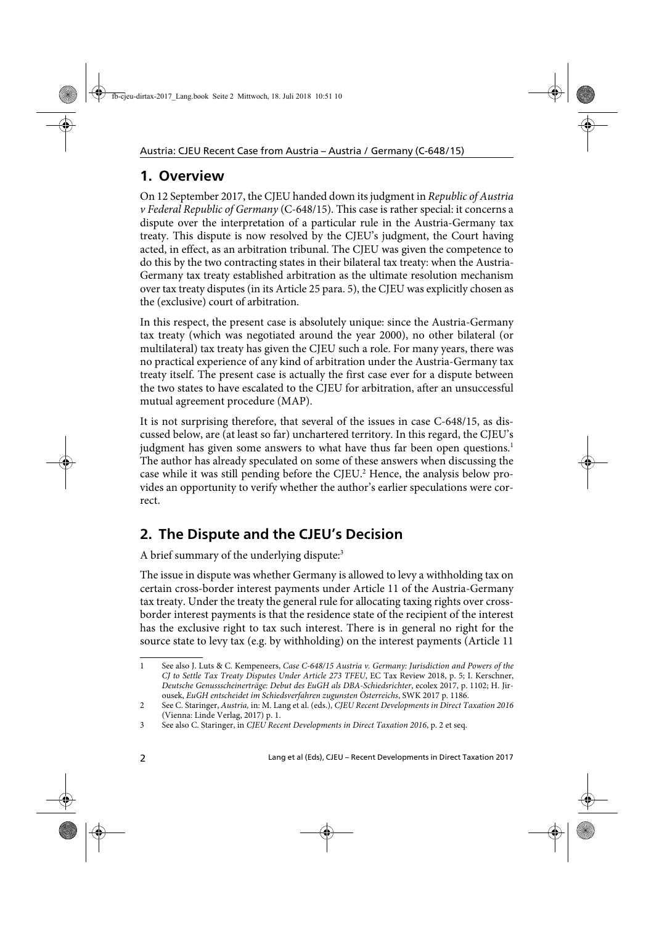## **1. Overview**

On 12 September 2017, the CJEU handed down its judgment in Republic of Austria v Federal Republic of Germany (C-648/15). This case is rather special: it concerns a dispute over the interpretation of a particular rule in the Austria-Germany tax treaty. This dispute is now resolved by the CJEU's judgment, the Court having acted, in effect, as an arbitration tribunal. The CJEU was given the competence to do this by the two contracting states in their bilateral tax treaty: when the Austria-Germany tax treaty established arbitration as the ultimate resolution mechanism over tax treaty disputes (in its Article 25 para. 5), the CJEU was explicitly chosen as the (exclusive) court of arbitration.

In this respect, the present case is absolutely unique: since the Austria-Germany tax treaty (which was negotiated around the year 2000), no other bilateral (or multilateral) tax treaty has given the CJEU such a role. For many years, there was no practical experience of any kind of arbitration under the Austria-Germany tax treaty itself. The present case is actually the first case ever for a dispute between the two states to have escalated to the CJEU for arbitration, after an unsuccessful mutual agreement procedure (MAP).

It is not surprising therefore, that several of the issues in case C-648/15, as discussed below, are (at least so far) unchartered territory. In this regard, the CJEU's judgment has given some answers to what have thus far been open questions.<sup>1</sup> The author has already speculated on some of these answers when discussing the case while it was still pending before the CJEU.<sup>2</sup> Hence, the analysis below provides an opportunity to verify whether the author's earlier speculations were correct.

## **2. The Dispute and the CJEU's Decision**

A brief summary of the underlying dispute:<sup>3</sup>

The issue in dispute was whether Germany is allowed to levy a withholding tax on certain cross-border interest payments under Article 11 of the Austria-Germany tax treaty. Under the treaty the general rule for allocating taxing rights over crossborder interest payments is that the residence state of the recipient of the interest has the exclusive right to tax such interest. There is in general no right for the source state to levy tax (e.g. by withholding) on the interest payments (Article 11

<sup>1</sup> See also J. Luts & C. Kempeneers, Case C-648/15 Austria v. Germany: Jurisdiction and Powers of the CJ to Settle Tax Treaty Disputes Under Article 273 TFEU, EC Tax Review 2018, p. 5; I. Kerschner, Deutsche Genussscheinerträge: Debut des EuGH als DBA-Schiedsrichter, ecolex 2017, p. 1102; H. Jirousek, EuGH entscheidet im Schiedsverfahren zugunsten Österreichs, SWK 2017 p. 1186.

<sup>2</sup> See C. Staringer, Austria, in: M. Lang et al. (eds.), CJEU Recent Developments in Direct Taxation 2016 (Vienna: Linde Verlag, 2017) p. 1.

<sup>3</sup> See also C. Staringer, in CJEU Recent Developments in Direct Taxation 2016, p. 2 et seq.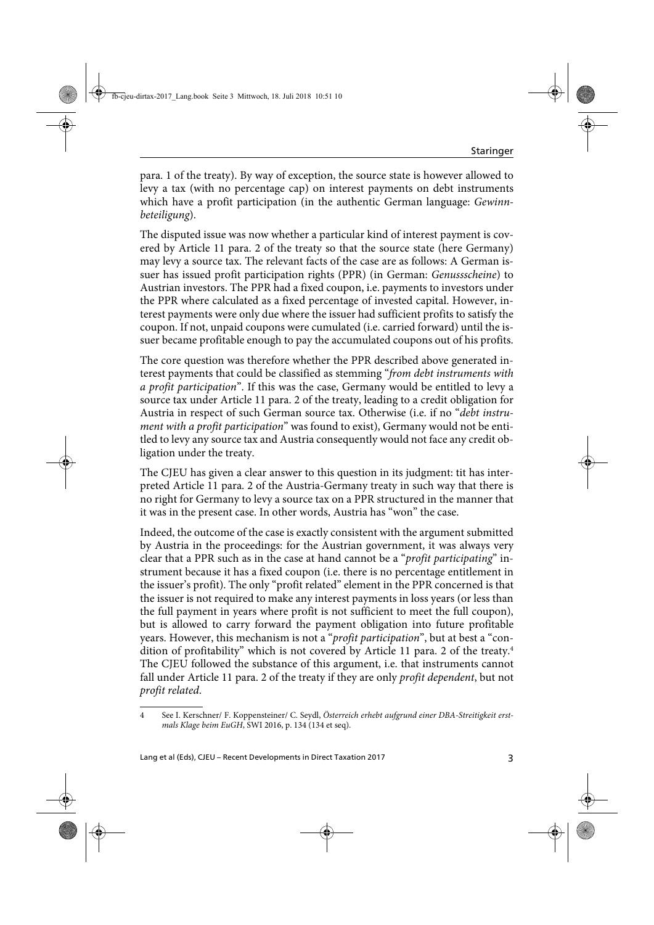para. 1 of the treaty). By way of exception, the source state is however allowed to levy a tax (with no percentage cap) on interest payments on debt instruments which have a profit participation (in the authentic German language: *Gewinn*beteiligung).

The disputed issue was now whether a particular kind of interest payment is covered by Article 11 para. 2 of the treaty so that the source state (here Germany) may levy a source tax. The relevant facts of the case are as follows: A German issuer has issued profit participation rights (PPR) (in German: Genussscheine) to Austrian investors. The PPR had a fixed coupon, i.e. payments to investors under the PPR where calculated as a fixed percentage of invested capital. However, interest payments were only due where the issuer had sufficient profits to satisfy the coupon. If not, unpaid coupons were cumulated (i.e. carried forward) until the issuer became profitable enough to pay the accumulated coupons out of his profits.

The core question was therefore whether the PPR described above generated interest payments that could be classified as stemming "from debt instruments with a profit participation". If this was the case, Germany would be entitled to levy a source tax under Article 11 para. 2 of the treaty, leading to a credit obligation for Austria in respect of such German source tax. Otherwise (i.e. if no "debt instrument with a profit participation" was found to exist), Germany would not be entitled to levy any source tax and Austria consequently would not face any credit obligation under the treaty.

The CJEU has given a clear answer to this question in its judgment: tit has interpreted Article 11 para. 2 of the Austria-Germany treaty in such way that there is no right for Germany to levy a source tax on a PPR structured in the manner that it was in the present case. In other words, Austria has "won" the case.

Indeed, the outcome of the case is exactly consistent with the argument submitted by Austria in the proceedings: for the Austrian government, it was always very clear that a PPR such as in the case at hand cannot be a "profit participating" instrument because it has a fixed coupon (i.e. there is no percentage entitlement in the issuer's profit). The only "profit related" element in the PPR concerned is that the issuer is not required to make any interest payments in loss years (or less than the full payment in years where profit is not sufficient to meet the full coupon), but is allowed to carry forward the payment obligation into future profitable years. However, this mechanism is not a "profit participation", but at best a "condition of profitability" which is not covered by Article 11 para. 2 of the treaty.4 The CJEU followed the substance of this argument, i.e. that instruments cannot fall under Article 11 para. 2 of the treaty if they are only *profit dependent*, but not profit related.

<sup>4</sup> See I. Kerschner/ F. Koppensteiner/ C. Seydl, Österreich erhebt aufgrund einer DBA-Streitigkeit erstmals Klage beim EuGH, SWI 2016, p. 134 (134 et seq).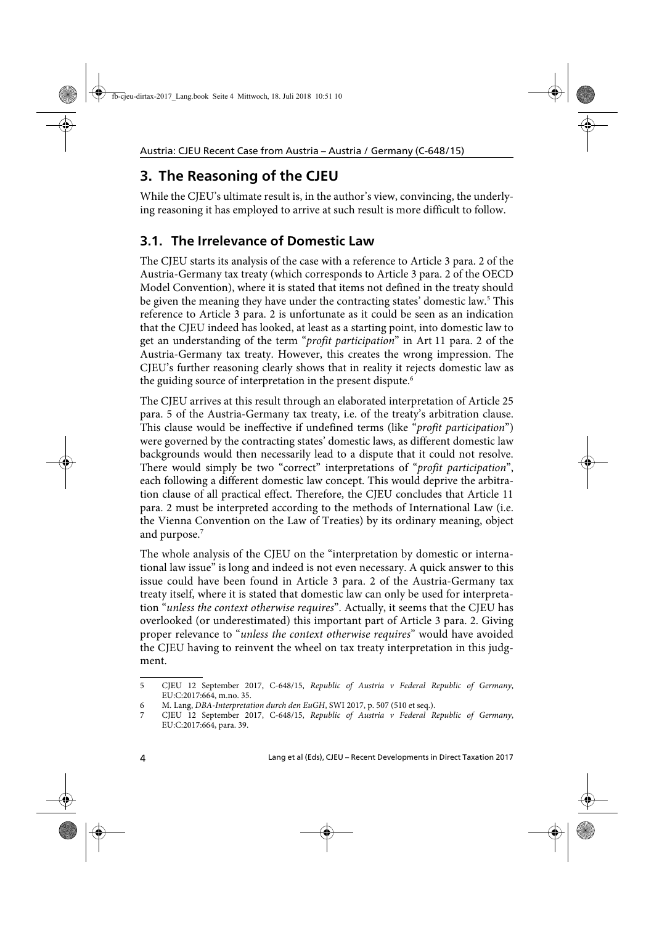## **3. The Reasoning of the CJEU**

While the CJEU's ultimate result is, in the author's view, convincing, the underlying reasoning it has employed to arrive at such result is more difficult to follow.

#### **3.1. The Irrelevance of Domestic Law**

The CJEU starts its analysis of the case with a reference to Article 3 para. 2 of the Austria-Germany tax treaty (which corresponds to Article 3 para. 2 of the OECD Model Convention), where it is stated that items not defined in the treaty should be given the meaning they have under the contracting states' domestic law.<sup>5</sup> This reference to Article 3 para. 2 is unfortunate as it could be seen as an indication that the CJEU indeed has looked, at least as a starting point, into domestic law to get an understanding of the term "profit participation" in Art 11 para. 2 of the Austria-Germany tax treaty. However, this creates the wrong impression. The CJEU's further reasoning clearly shows that in reality it rejects domestic law as the guiding source of interpretation in the present dispute.<sup>6</sup>

The CJEU arrives at this result through an elaborated interpretation of Article 25 para. 5 of the Austria-Germany tax treaty, i.e. of the treaty's arbitration clause. This clause would be ineffective if undefined terms (like "profit participation") were governed by the contracting states' domestic laws, as different domestic law backgrounds would then necessarily lead to a dispute that it could not resolve. There would simply be two "correct" interpretations of "*profit participation*", each following a different domestic law concept. This would deprive the arbitration clause of all practical effect. Therefore, the CJEU concludes that Article 11 para. 2 must be interpreted according to the methods of International Law (i.e. the Vienna Convention on the Law of Treaties) by its ordinary meaning, object and purpose.<sup>7</sup>

The whole analysis of the CJEU on the "interpretation by domestic or international law issue" is long and indeed is not even necessary. A quick answer to this issue could have been found in Article 3 para. 2 of the Austria-Germany tax treaty itself, where it is stated that domestic law can only be used for interpretation "unless the context otherwise requires". Actually, it seems that the CJEU has overlooked (or underestimated) this important part of Article 3 para. 2. Giving proper relevance to "unless the context otherwise requires" would have avoided the CJEU having to reinvent the wheel on tax treaty interpretation in this judgment.

<sup>5</sup> CJEU 12 September 2017, C-648/15, Republic of Austria v Federal Republic of Germany, EU:C:2017:664, m.no. 35.

<sup>6</sup> M. Lang, DBA-Interpretation durch den EuGH, SWI 2017, p. 507 (510 et seq.).

<sup>7</sup> CJEU 12 September 2017, C-648/15, Republic of Austria v Federal Republic of Germany, EU:C:2017:664, para. 39.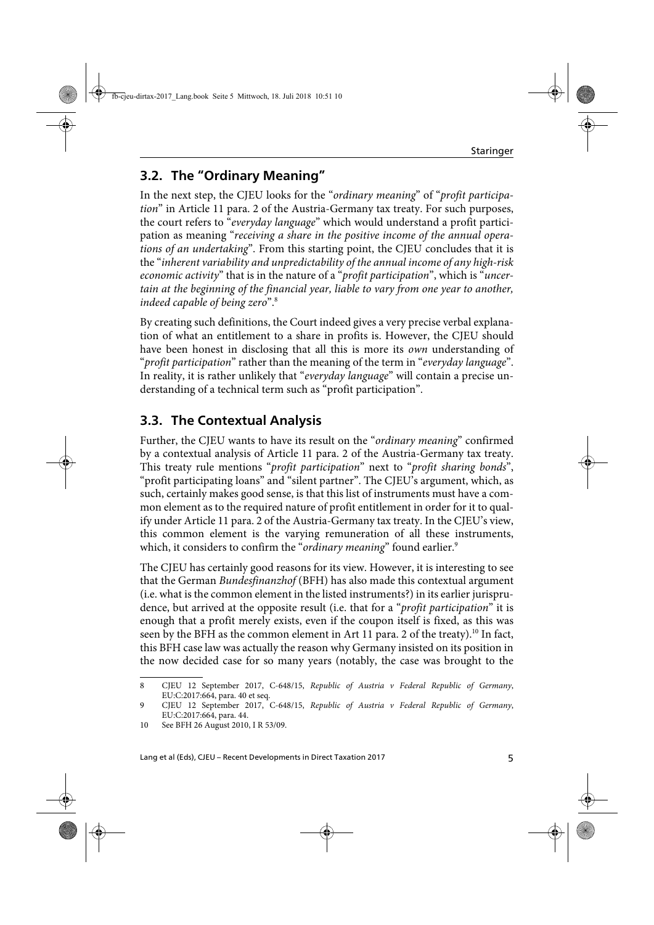### **3.2. The "Ordinary Meaning"**

In the next step, the CJEU looks for the "ordinary meaning" of "profit participation" in Article 11 para. 2 of the Austria-Germany tax treaty. For such purposes, the court refers to "everyday language" which would understand a profit participation as meaning "receiving a share in the positive income of the annual operations of an undertaking". From this starting point, the CJEU concludes that it is the "inherent variability and unpredictability of the annual income of any high-risk economic activity" that is in the nature of a "profit participation", which is "uncertain at the beginning of the financial year, liable to vary from one year to another, indeed capable of being zero".8

By creating such definitions, the Court indeed gives a very precise verbal explanation of what an entitlement to a share in profits is. However, the CJEU should have been honest in disclosing that all this is more its *own* understanding of "profit participation" rather than the meaning of the term in "everyday language". In reality, it is rather unlikely that "everyday language" will contain a precise understanding of a technical term such as "profit participation".

### **3.3. The Contextual Analysis**

Further, the CJEU wants to have its result on the "ordinary meaning" confirmed by a contextual analysis of Article 11 para. 2 of the Austria-Germany tax treaty. This treaty rule mentions "profit participation" next to "profit sharing bonds", "profit participating loans" and "silent partner". The CJEU's argument, which, as such, certainly makes good sense, is that this list of instruments must have a common element as to the required nature of profit entitlement in order for it to qualify under Article 11 para. 2 of the Austria-Germany tax treaty. In the CJEU's view, this common element is the varying remuneration of all these instruments, which, it considers to confirm the "*ordinary meaning*" found earlier.<sup>9</sup>

The CJEU has certainly good reasons for its view. However, it is interesting to see that the German Bundesfinanzhof (BFH) has also made this contextual argument (i.e. what is the common element in the listed instruments?) in its earlier jurisprudence, but arrived at the opposite result (i.e. that for a "*profit participation*" it is enough that a profit merely exists, even if the coupon itself is fixed, as this was seen by the BFH as the common element in Art 11 para. 2 of the treaty).<sup>10</sup> In fact, this BFH case law was actually the reason why Germany insisted on its position in the now decided case for so many years (notably, the case was brought to the

<sup>8</sup> CJEU 12 September 2017, C-648/15, Republic of Austria v Federal Republic of Germany, EU:C:2017:664, para. 40 et seq.

<sup>9</sup> CJEU 12 September 2017, C-648/15, Republic of Austria v Federal Republic of Germany, EU:C:2017:664, para. 44.

<sup>10</sup> See BFH 26 August 2010, I R 53/09.